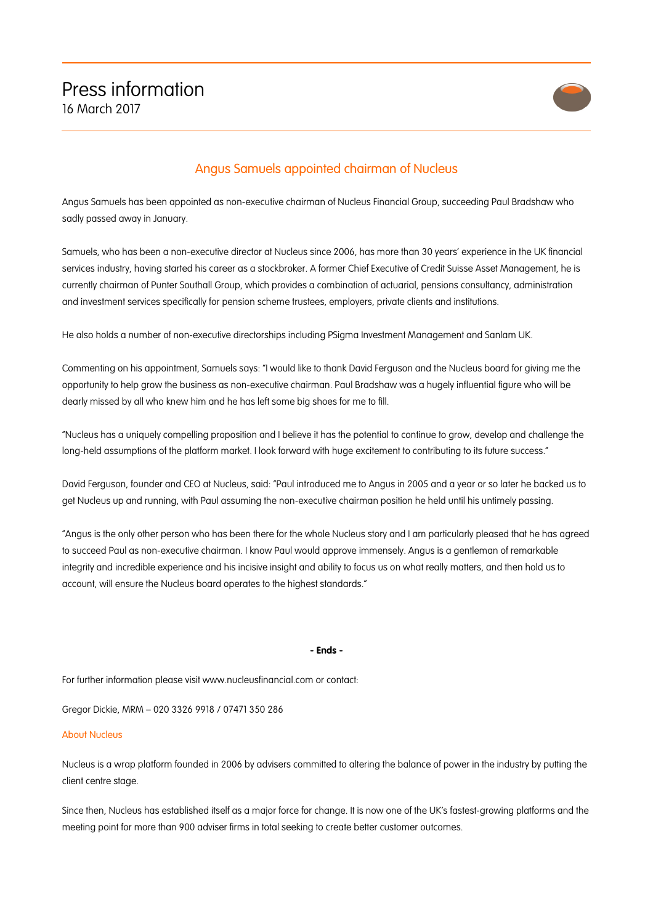

## Angus Samuels appointed chairman of Nucleus

Angus Samuels has been appointed as non-executive chairman of Nucleus Financial Group, succeeding Paul Bradshaw who sadly passed away in January.

Samuels, who has been a non-executive director at Nucleus since 2006, has more than 30 years' experience in the UK financial services industry, having started his career as a stockbroker. A former Chief Executive of Credit Suisse Asset Management, he is currently chairman of Punter Southall Group, which provides a combination of actuarial, pensions consultancy, administration and investment services specifically for pension scheme trustees, employers, private clients and institutions.

He also holds a number of non-executive directorships including PSigma Investment Management and Sanlam UK.

Commenting on his appointment, Samuels says: "I would like to thank David Ferguson and the Nucleus board for giving me the opportunity to help grow the business as non-executive chairman. Paul Bradshaw was a hugely influential figure who will be dearly missed by all who knew him and he has left some big shoes for me to fill.

"Nucleus has a uniquely compelling proposition and I believe it has the potential to continue to grow, develop and challenge the long-held assumptions of the platform market. I look forward with huge excitement to contributing to its future success."

David Ferguson, founder and CEO at Nucleus, said: "Paul introduced me to Angus in 2005 and a year or so later he backed us to get Nucleus up and running, with Paul assuming the non-executive chairman position he held until his untimely passing.

"Angus is the only other person who has been there for the whole Nucleus story and I am particularly pleased that he has agreed to succeed Paul as non-executive chairman. I know Paul would approve immensely. Angus is a gentleman of remarkable integrity and incredible experience and his incisive insight and ability to focus us on what really matters, and then hold us to account, will ensure the Nucleus board operates to the highest standards."

## **- Ends -**

For further information please visit www.nucleusfinancial.com or contact:

Gregor Dickie, MRM – 020 3326 9918 / 07471 350 286

## About Nucleus

Nucleus is a wrap platform founded in 2006 by advisers committed to altering the balance of power in the industry by putting the client centre stage.

Since then, Nucleus has established itself as a major force for change. It is now one of the UK's fastest-growing platforms and the meeting point for more than 900 adviser firms in total seeking to create better customer outcomes.